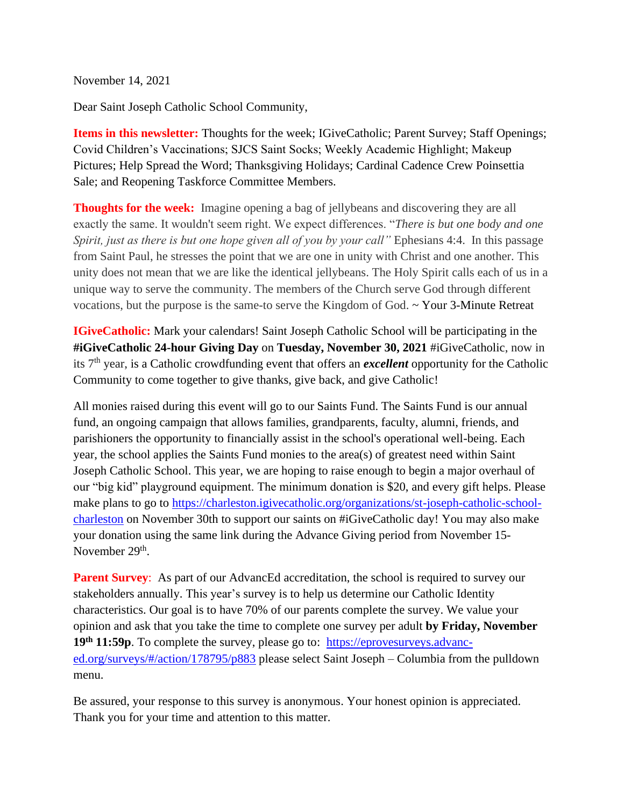November 14, 2021

Dear Saint Joseph Catholic School Community,

**Items in this newsletter:** Thoughts for the week; IGiveCatholic; Parent Survey; Staff Openings; Covid Children's Vaccinations; SJCS Saint Socks; Weekly Academic Highlight; Makeup Pictures; Help Spread the Word; Thanksgiving Holidays; Cardinal Cadence Crew Poinsettia Sale; and Reopening Taskforce Committee Members.

**Thoughts for the week:** Imagine opening a bag of jellybeans and discovering they are all exactly the same. It wouldn't seem right. We expect differences. "*There is but one body and one Spirit, just as there is but one hope given all of you by your call*" Ephesians 4:4. In this passage from Saint Paul, he stresses the point that we are one in unity with Christ and one another. This unity does not mean that we are like the identical jellybeans. The Holy Spirit calls each of us in a unique way to serve the community. The members of the Church serve God through different vocations, but the purpose is the same-to serve the Kingdom of God. ~ Your 3-Minute Retreat

**IGiveCatholic:** Mark your calendars! Saint Joseph Catholic School will be participating in the **#iGiveCatholic 24-hour Giving Day** on **Tuesday, November 30, 2021** #iGiveCatholic, now in its 7th year, is a Catholic crowdfunding event that offers an *excellent* opportunity for the Catholic Community to come together to give thanks, give back, and give Catholic!

All monies raised during this event will go to our Saints Fund. The Saints Fund is our annual fund, an ongoing campaign that allows families, grandparents, faculty, alumni, friends, and parishioners the opportunity to financially assist in the school's operational well-being. Each year, the school applies the Saints Fund monies to the area(s) of greatest need within Saint Joseph Catholic School. This year, we are hoping to raise enough to begin a major overhaul of our "big kid" playground equipment. The minimum donation is \$20, and every gift helps. Please make plans to go to [https://charleston.igivecatholic.org/organizations/st-joseph-catholic-school](https://charleston.igivecatholic.org/organizations/st-joseph-catholic-school-charleston)[charleston](https://charleston.igivecatholic.org/organizations/st-joseph-catholic-school-charleston) on November 30th to support our saints on #iGiveCatholic day! You may also make your donation using the same link during the Advance Giving period from November 15- November 29<sup>th</sup>.

**Parent Survey:** As part of our AdvancEd accreditation, the school is required to survey our stakeholders annually. This year's survey is to help us determine our Catholic Identity characteristics. Our goal is to have 70% of our parents complete the survey. We value your opinion and ask that you take the time to complete one survey per adult **by Friday, November 19th 11:59p**. To complete the survey, please go to: [https://eprovesurveys.advanc](https://eprovesurveys.advanc-ed.org/surveys/#/action/178795/p883)[ed.org/surveys/#/action/178795/p883](https://eprovesurveys.advanc-ed.org/surveys/#/action/178795/p883) please select Saint Joseph – Columbia from the pulldown menu.

Be assured, your response to this survey is anonymous. Your honest opinion is appreciated. Thank you for your time and attention to this matter.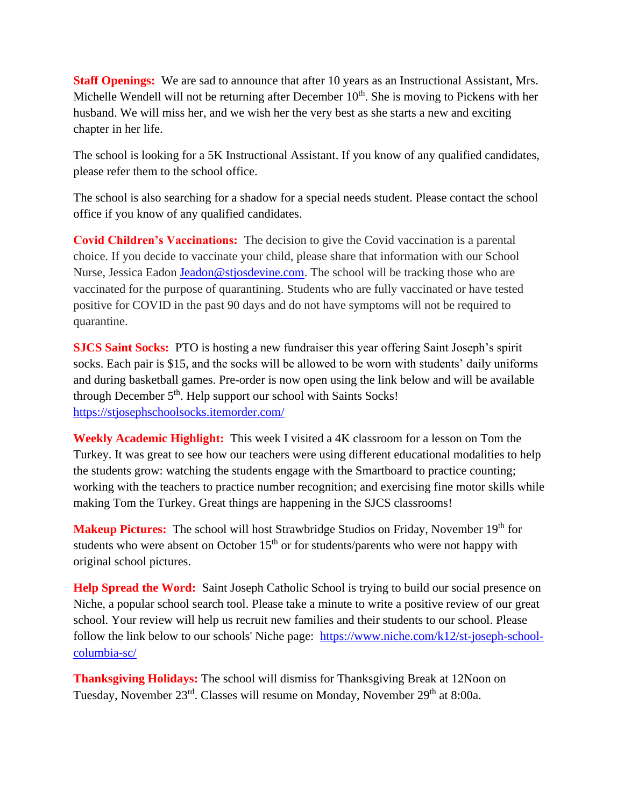**Staff Openings:** We are sad to announce that after 10 years as an Instructional Assistant, Mrs. Michelle Wendell will not be returning after December 10<sup>th</sup>. She is moving to Pickens with her husband. We will miss her, and we wish her the very best as she starts a new and exciting chapter in her life.

The school is looking for a 5K Instructional Assistant. If you know of any qualified candidates, please refer them to the school office.

The school is also searching for a shadow for a special needs student. Please contact the school office if you know of any qualified candidates.

**Covid Children's Vaccinations:** The decision to give the Covid vaccination is a parental choice. If you decide to vaccinate your child, please share that information with our School Nurse, Jessica Eadon [Jeadon@stjosdevine.com.](mailto:Jeadon@stjosdevine.com) The school will be tracking those who are vaccinated for the purpose of quarantining. Students who are fully vaccinated or have tested positive for COVID in the past 90 days and do not have symptoms will not be required to quarantine.

**SJCS Saint Socks:** PTO is hosting a new fundraiser this year offering Saint Joseph's spirit socks. Each pair is \$15, and the socks will be allowed to be worn with students' daily uniforms and during basketball games. Pre-order is now open using the link below and will be available through December 5<sup>th</sup>. Help support our school with Saints Socks! <https://stjosephschoolsocks.itemorder.com/>

**Weekly Academic Highlight:** This week I visited a 4K classroom for a lesson on Tom the Turkey. It was great to see how our teachers were using different educational modalities to help the students grow: watching the students engage with the Smartboard to practice counting; working with the teachers to practice number recognition; and exercising fine motor skills while making Tom the Turkey. Great things are happening in the SJCS classrooms!

**Makeup Pictures:** The school will host Strawbridge Studios on Friday, November 19<sup>th</sup> for students who were absent on October  $15<sup>th</sup>$  or for students/parents who were not happy with original school pictures.

**Help Spread the Word:** Saint Joseph Catholic School is trying to build our social presence on Niche, a popular school search tool. Please take a minute to write a positive review of our great school. Your review will help us recruit new families and their students to our school. Please follow the link below to our schools' Niche page: [https://www.niche.com/k12/st-joseph-school](https://www.niche.com/k12/st-joseph-school-columbia-sc/)[columbia-sc/](https://www.niche.com/k12/st-joseph-school-columbia-sc/)

**Thanksgiving Holidays:** The school will dismiss for Thanksgiving Break at 12Noon on Tuesday, November 23<sup>rd</sup>. Classes will resume on Monday, November 29<sup>th</sup> at 8:00a.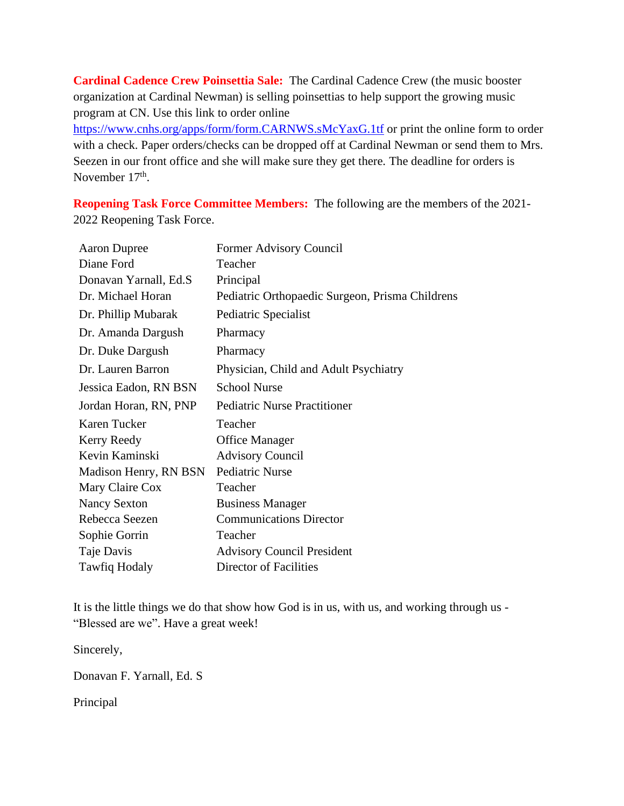**Cardinal Cadence Crew Poinsettia Sale:** The Cardinal Cadence Crew (the music booster organization at Cardinal Newman) is selling poinsettias to help support the growing music program at CN. Use this link to order online

<https://www.cnhs.org/apps/form/form.CARNWS.sMcYaxG.1tf> or print the online form to order with a check. Paper orders/checks can be dropped off at Cardinal Newman or send them to Mrs. Seezen in our front office and she will make sure they get there. The deadline for orders is November 17<sup>th</sup>.

**Reopening Task Force Committee Members:** The following are the members of the 2021- 2022 Reopening Task Force.

| <b>Aaron Dupree</b>    | Former Advisory Council                         |
|------------------------|-------------------------------------------------|
| Diane Ford             | Teacher                                         |
| Donavan Yarnall, Ed.S. | Principal                                       |
| Dr. Michael Horan      | Pediatric Orthopaedic Surgeon, Prisma Childrens |
| Dr. Phillip Mubarak    | Pediatric Specialist                            |
| Dr. Amanda Dargush     | Pharmacy                                        |
| Dr. Duke Dargush       | Pharmacy                                        |
| Dr. Lauren Barron      | Physician, Child and Adult Psychiatry           |
| Jessica Eadon, RN BSN  | <b>School Nurse</b>                             |
| Jordan Horan, RN, PNP  | <b>Pediatric Nurse Practitioner</b>             |
| Karen Tucker           | Teacher                                         |
| Kerry Reedy            | <b>Office Manager</b>                           |
| Kevin Kaminski         | <b>Advisory Council</b>                         |
| Madison Henry, RN BSN  | <b>Pediatric Nurse</b>                          |
| Mary Claire Cox        | Teacher                                         |
| <b>Nancy Sexton</b>    | <b>Business Manager</b>                         |
| Rebecca Seezen         | <b>Communications Director</b>                  |
| Sophie Gorrin          | Teacher                                         |
| Taje Davis             | <b>Advisory Council President</b>               |
| <b>Tawfiq Hodaly</b>   | Director of Facilities                          |

It is the little things we do that show how God is in us, with us, and working through us - "Blessed are we". Have a great week!

Sincerely,

Donavan F. Yarnall, Ed. S

Principal